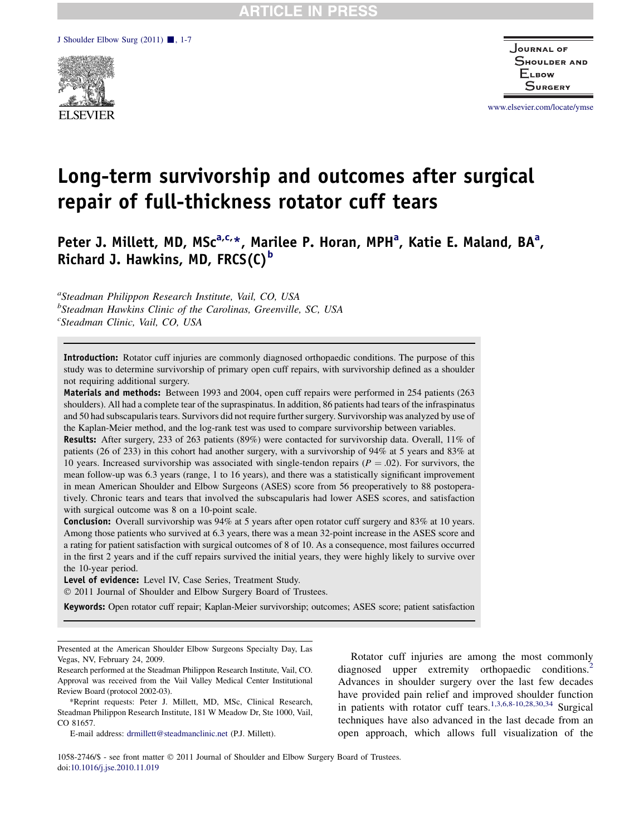

Journal of SHOULDER AND **ELBOW** Surgery

[www.elsevier.com/locate/ymse](http://www.elsevier.com/locate/ymse)

# Long-term survivorship and outcomes after surgical repair of full-thickness rotator cuff tears

Peter J. Millett, MD, MSc<sup>a,c,\*</sup>, Marilee P. Horan, MPH<sup>a</sup>, Katie E. Maland, BA<sup>a</sup>, Richard J. Hawkins, MD, FRCS $(C)^b$ 

<sup>a</sup>Steadman Philippon Research Institute, Vail, CO, USA <sup>b</sup>Steadman Hawkins Clinic of the Carolinas, Greenville, SC, USA <sup>c</sup>Steadman Clinic, Vail, CO, USA

Introduction: Rotator cuff injuries are commonly diagnosed orthopaedic conditions. The purpose of this study was to determine survivorship of primary open cuff repairs, with survivorship defined as a shoulder not requiring additional surgery.

Materials and methods: Between 1993 and 2004, open cuff repairs were performed in 254 patients (263 shoulders). All had a complete tear of the supraspinatus. In addition, 86 patients had tears of the infraspinatus and 50 had subscapularis tears. Survivors did not require further surgery. Survivorship was analyzed by use of the Kaplan-Meier method, and the log-rank test was used to compare survivorship between variables.

Results: After surgery, 233 of 263 patients (89%) were contacted for survivorship data. Overall, 11% of patients (26 of 233) in this cohort had another surgery, with a survivorship of 94% at 5 years and 83% at 10 years. Increased survivorship was associated with single-tendon repairs ( $P = .02$ ). For survivors, the mean follow-up was 6.3 years (range, 1 to 16 years), and there was a statistically significant improvement in mean American Shoulder and Elbow Surgeons (ASES) score from 56 preoperatively to 88 postoperatively. Chronic tears and tears that involved the subscapularis had lower ASES scores, and satisfaction with surgical outcome was 8 on a 10-point scale.

Conclusion: Overall survivorship was 94% at 5 years after open rotator cuff surgery and 83% at 10 years. Among those patients who survived at 6.3 years, there was a mean 32-point increase in the ASES score and a rating for patient satisfaction with surgical outcomes of 8 of 10. As a consequence, most failures occurred in the first 2 years and if the cuff repairs survived the initial years, they were highly likely to survive over the 10-year period.

Level of evidence: Level IV, Case Series, Treatment Study.

2011 Journal of Shoulder and Elbow Surgery Board of Trustees.

Keywords: Open rotator cuff repair; Kaplan-Meier survivorship; outcomes; ASES score; patient satisfaction

Presented at the American Shoulder Elbow Surgeons Specialty Day, Las Vegas, NV, February 24, 2009.

Rotator cuff injuries are among the most commonly diagnosed upper extremity orthopaedic conditions.<sup>[2](#page-5-0)</sup> Advances in shoulder surgery over the last few decades have provided pain relief and improved shoulder function in patients with rotator cuff tears.[1,3,6,8-10,28,30,34](#page-5-0) Surgical techniques have also advanced in the last decade from an open approach, which allows full visualization of the

Research performed at the Steadman Philippon Research Institute, Vail, CO. Approval was received from the Vail Valley Medical Center Institutional Review Board (protocol 2002-03).

<sup>\*</sup>Reprint requests: Peter J. Millett, MD, MSc, Clinical Research, Steadman Philippon Research Institute, 181 W Meadow Dr, Ste 1000, Vail, CO 81657.

E-mail address: [drmillett@steadmanclinic.net](mailto:drmillett@steadmanclinic.net) (P.J. Millett).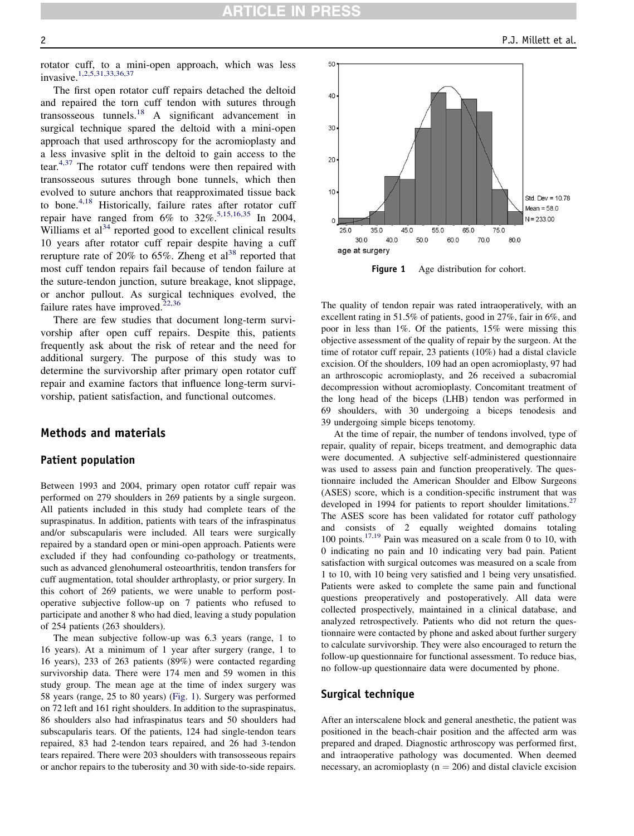rotator cuff, to a mini-open approach, which was less invasive[.1,2,5,31,33,36,37](#page-5-0)

The first open rotator cuff repairs detached the deltoid and repaired the torn cuff tendon with sutures through transosseous tunnels. $^{18}$  $^{18}$  $^{18}$  A significant advancement in surgical technique spared the deltoid with a mini-open approach that used arthroscopy for the acromioplasty and a less invasive split in the deltoid to gain access to the tear.[4,37](#page-5-0) The rotator cuff tendons were then repaired with transosseous sutures through bone tunnels, which then evolved to suture anchors that reapproximated tissue back to bone.<sup>[4,18](#page-5-0)</sup> Historically, failure rates after rotator cuff repair have ranged from  $6\%$  to  $32\%$ <sup>[5,15,16,35](#page-5-0)</sup> In 2004, Williams et  $al<sup>34</sup>$  $al<sup>34</sup>$  $al<sup>34</sup>$  reported good to excellent clinical results 10 years after rotator cuff repair despite having a cuff rerupture rate of 20% to 65%. Zheng et  $al^{38}$  $al^{38}$  $al^{38}$  reported that most cuff tendon repairs fail because of tendon failure at the suture-tendon junction, suture breakage, knot slippage, or anchor pullout. As surgical techniques evolved, the failure rates have improved.<sup>[22,36](#page-5-0)</sup>

There are few studies that document long-term survivorship after open cuff repairs. Despite this, patients frequently ask about the risk of retear and the need for additional surgery. The purpose of this study was to determine the survivorship after primary open rotator cuff repair and examine factors that influence long-term survivorship, patient satisfaction, and functional outcomes.

## Methods and materials

## Patient population

Between 1993 and 2004, primary open rotator cuff repair was performed on 279 shoulders in 269 patients by a single surgeon. All patients included in this study had complete tears of the supraspinatus. In addition, patients with tears of the infraspinatus and/or subscapularis were included. All tears were surgically repaired by a standard open or mini-open approach. Patients were excluded if they had confounding co-pathology or treatments, such as advanced glenohumeral osteoarthritis, tendon transfers for cuff augmentation, total shoulder arthroplasty, or prior surgery. In this cohort of 269 patients, we were unable to perform postoperative subjective follow-up on 7 patients who refused to participate and another 8 who had died, leaving a study population of 254 patients (263 shoulders).

The mean subjective follow-up was 6.3 years (range, 1 to 16 years). At a minimum of 1 year after surgery (range, 1 to 16 years), 233 of 263 patients (89%) were contacted regarding survivorship data. There were 174 men and 59 women in this study group. The mean age at the time of index surgery was 58 years (range, 25 to 80 years) (Fig. 1). Surgery was performed on 72 left and 161 right shoulders. In addition to the supraspinatus, 86 shoulders also had infraspinatus tears and 50 shoulders had subscapularis tears. Of the patients, 124 had single-tendon tears repaired, 83 had 2-tendon tears repaired, and 26 had 3-tendon tears repaired. There were 203 shoulders with transosseous repairs or anchor repairs to the tuberosity and 30 with side-to-side repairs.



**Figure 1** Age distribution for cohort.

The quality of tendon repair was rated intraoperatively, with an excellent rating in 51.5% of patients, good in 27%, fair in 6%, and poor in less than 1%. Of the patients, 15% were missing this objective assessment of the quality of repair by the surgeon. At the time of rotator cuff repair, 23 patients (10%) had a distal clavicle excision. Of the shoulders, 109 had an open acromioplasty, 97 had an arthroscopic acromioplasty, and 26 received a subacromial decompression without acromioplasty. Concomitant treatment of the long head of the biceps (LHB) tendon was performed in 69 shoulders, with 30 undergoing a biceps tenodesis and 39 undergoing simple biceps tenotomy.

At the time of repair, the number of tendons involved, type of repair, quality of repair, biceps treatment, and demographic data were documented. A subjective self-administered questionnaire was used to assess pain and function preoperatively. The questionnaire included the American Shoulder and Elbow Surgeons (ASES) score, which is a condition-specific instrument that was developed in 1994 for patients to report shoulder limitations.<sup>[27](#page-6-0)</sup> The ASES score has been validated for rotator cuff pathology and consists of 2 equally weighted domains totaling 100 points.<sup>[17,19](#page-5-0)</sup> Pain was measured on a scale from 0 to 10, with 0 indicating no pain and 10 indicating very bad pain. Patient satisfaction with surgical outcomes was measured on a scale from 1 to 10, with 10 being very satisfied and 1 being very unsatisfied. Patients were asked to complete the same pain and functional questions preoperatively and postoperatively. All data were collected prospectively, maintained in a clinical database, and analyzed retrospectively. Patients who did not return the questionnaire were contacted by phone and asked about further surgery to calculate survivorship. They were also encouraged to return the follow-up questionnaire for functional assessment. To reduce bias, no follow-up questionnaire data were documented by phone.

#### Surgical technique

After an interscalene block and general anesthetic, the patient was positioned in the beach-chair position and the affected arm was prepared and draped. Diagnostic arthroscopy was performed first, and intraoperative pathology was documented. When deemed necessary, an acromioplasty ( $n = 206$ ) and distal clavicle excision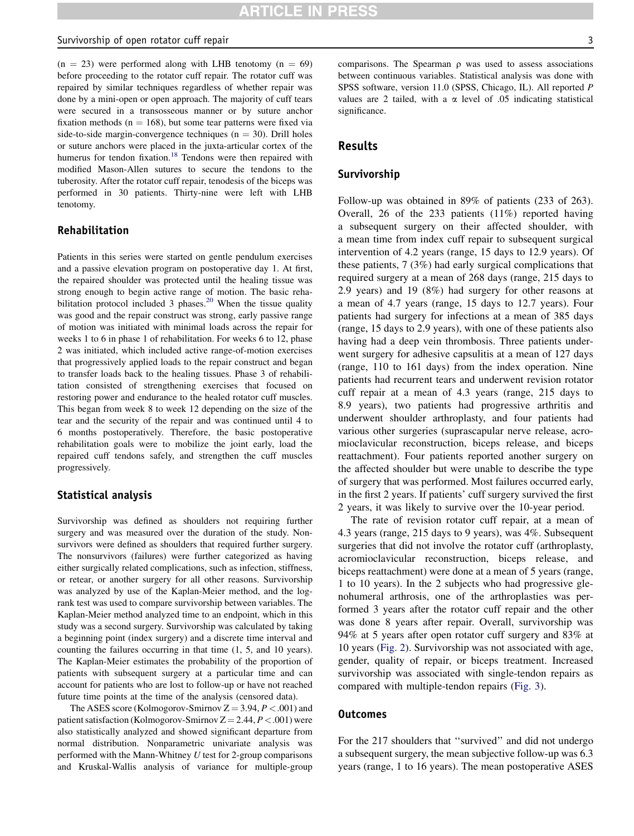$(n = 23)$  were performed along with LHB tenotomy  $(n = 69)$ before proceeding to the rotator cuff repair. The rotator cuff was repaired by similar techniques regardless of whether repair was done by a mini-open or open approach. The majority of cuff tears were secured in a transosseous manner or by suture anchor fixation methods ( $n = 168$ ), but some tear patterns were fixed via side-to-side margin-convergence techniques ( $n = 30$ ). Drill holes or suture anchors were placed in the juxta-articular cortex of the humerus for tendon fixation.<sup>[18](#page-5-0)</sup> Tendons were then repaired with modified Mason-Allen sutures to secure the tendons to the tuberosity. After the rotator cuff repair, tenodesis of the biceps was performed in 30 patients. Thirty-nine were left with LHB tenotomy.

## Rehabilitation

Patients in this series were started on gentle pendulum exercises and a passive elevation program on postoperative day 1. At first, the repaired shoulder was protected until the healing tissue was strong enough to begin active range of motion. The basic reha-bilitation protocol included 3 phases.<sup>[20](#page-5-0)</sup> When the tissue quality was good and the repair construct was strong, early passive range of motion was initiated with minimal loads across the repair for weeks 1 to 6 in phase 1 of rehabilitation. For weeks 6 to 12, phase 2 was initiated, which included active range-of-motion exercises that progressively applied loads to the repair construct and began to transfer loads back to the healing tissues. Phase 3 of rehabilitation consisted of strengthening exercises that focused on restoring power and endurance to the healed rotator cuff muscles. This began from week 8 to week 12 depending on the size of the tear and the security of the repair and was continued until 4 to 6 months postoperatively. Therefore, the basic postoperative rehabilitation goals were to mobilize the joint early, load the repaired cuff tendons safely, and strengthen the cuff muscles progressively.

#### Statistical analysis

Survivorship was defined as shoulders not requiring further surgery and was measured over the duration of the study. Nonsurvivors were defined as shoulders that required further surgery. The nonsurvivors (failures) were further categorized as having either surgically related complications, such as infection, stiffness, or retear, or another surgery for all other reasons. Survivorship was analyzed by use of the Kaplan-Meier method, and the logrank test was used to compare survivorship between variables. The Kaplan-Meier method analyzed time to an endpoint, which in this study was a second surgery. Survivorship was calculated by taking a beginning point (index surgery) and a discrete time interval and counting the failures occurring in that time (1, 5, and 10 years). The Kaplan-Meier estimates the probability of the proportion of patients with subsequent surgery at a particular time and can account for patients who are lost to follow-up or have not reached future time points at the time of the analysis (censored data).

The ASES score (Kolmogorov-Smirnov  $Z = 3.94, P < .001$ ) and patient satisfaction (Kolmogorov-Smirnov  $Z = 2.44, P < .001$ ) were also statistically analyzed and showed significant departure from normal distribution. Nonparametric univariate analysis was performed with the Mann-Whitney  $U$  test for 2-group comparisons and Kruskal-Wallis analysis of variance for multiple-group comparisons. The Spearman  $\rho$  was used to assess associations between continuous variables. Statistical analysis was done with SPSS software, version 11.0 (SPSS, Chicago, IL). All reported P values are 2 tailed, with a  $\alpha$  level of .05 indicating statistical significance.

## Results

#### Survivorship

Follow-up was obtained in 89% of patients (233 of 263). Overall, 26 of the 233 patients (11%) reported having a subsequent surgery on their affected shoulder, with a mean time from index cuff repair to subsequent surgical intervention of 4.2 years (range, 15 days to 12.9 years). Of these patients, 7 (3%) had early surgical complications that required surgery at a mean of 268 days (range, 215 days to 2.9 years) and 19 (8%) had surgery for other reasons at a mean of 4.7 years (range, 15 days to 12.7 years). Four patients had surgery for infections at a mean of 385 days (range, 15 days to 2.9 years), with one of these patients also having had a deep vein thrombosis. Three patients underwent surgery for adhesive capsulitis at a mean of 127 days (range, 110 to 161 days) from the index operation. Nine patients had recurrent tears and underwent revision rotator cuff repair at a mean of 4.3 years (range, 215 days to 8.9 years), two patients had progressive arthritis and underwent shoulder arthroplasty, and four patients had various other surgeries (suprascapular nerve release, acromioclavicular reconstruction, biceps release, and biceps reattachment). Four patients reported another surgery on the affected shoulder but were unable to describe the type of surgery that was performed. Most failures occurred early, in the first 2 years. If patients' cuff surgery survived the first 2 years, it was likely to survive over the 10-year period.

The rate of revision rotator cuff repair, at a mean of 4.3 years (range, 215 days to 9 years), was 4%. Subsequent surgeries that did not involve the rotator cuff (arthroplasty, acromioclavicular reconstruction, biceps release, and biceps reattachment) were done at a mean of 5 years (range, 1 to 10 years). In the 2 subjects who had progressive glenohumeral arthrosis, one of the arthroplasties was performed 3 years after the rotator cuff repair and the other was done 8 years after repair. Overall, survivorship was 94% at 5 years after open rotator cuff surgery and 83% at 10 years [\(Fig. 2\)](#page-3-0). Survivorship was not associated with age, gender, quality of repair, or biceps treatment. Increased survivorship was associated with single-tendon repairs as compared with multiple-tendon repairs ([Fig. 3](#page-3-0)).

## **Outcomes**

For the 217 shoulders that ''survived'' and did not undergo a subsequent surgery, the mean subjective follow-up was 6.3 years (range, 1 to 16 years). The mean postoperative ASES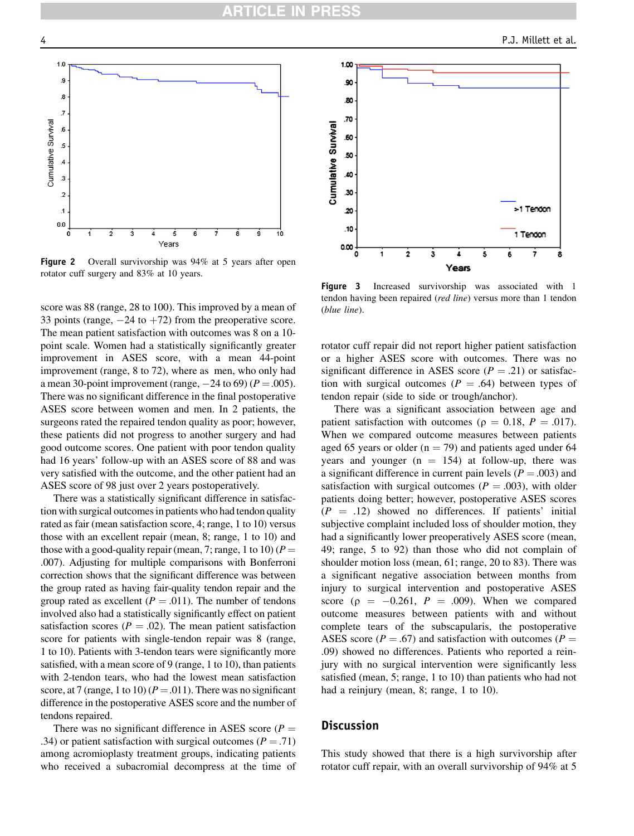<span id="page-3-0"></span>

Figure 2 Overall survivorship was 94% at 5 years after open rotator cuff surgery and 83% at 10 years.

score was 88 (range, 28 to 100). This improved by a mean of 33 points (range,  $-24$  to  $+72$ ) from the preoperative score. The mean patient satisfaction with outcomes was 8 on a 10 point scale. Women had a statistically significantly greater improvement in ASES score, with a mean 44-point improvement (range, 8 to 72), where as men, who only had a mean 30-point improvement (range,  $-24$  to 69) ( $P = .005$ ). There was no significant difference in the final postoperative ASES score between women and men. In 2 patients, the surgeons rated the repaired tendon quality as poor; however, these patients did not progress to another surgery and had good outcome scores. One patient with poor tendon quality had 16 years' follow-up with an ASES score of 88 and was very satisfied with the outcome, and the other patient had an ASES score of 98 just over 2 years postoperatively.

There was a statistically significant difference in satisfaction with surgical outcomes in patients who had tendon quality rated as fair (mean satisfaction score, 4; range, 1 to 10) versus those with an excellent repair (mean, 8; range, 1 to 10) and those with a good-quality repair (mean, 7; range, 1 to 10) ( $P =$ .007). Adjusting for multiple comparisons with Bonferroni correction shows that the significant difference was between the group rated as having fair-quality tendon repair and the group rated as excellent ( $P = .011$ ). The number of tendons involved also had a statistically significantly effect on patient satisfaction scores ( $P = .02$ ). The mean patient satisfaction score for patients with single-tendon repair was 8 (range, 1 to 10). Patients with 3-tendon tears were significantly more satisfied, with a mean score of 9 (range, 1 to 10), than patients with 2-tendon tears, who had the lowest mean satisfaction score, at 7 (range, 1 to 10) ( $P = .011$ ). There was no significant difference in the postoperative ASES score and the number of tendons repaired.

There was no significant difference in ASES score ( $P =$ .34) or patient satisfaction with surgical outcomes ( $P = .71$ ) among acromioplasty treatment groups, indicating patients who received a subacromial decompress at the time of



Figure 3 Increased survivorship was associated with 1 tendon having been repaired (red line) versus more than 1 tendon (blue line).

rotator cuff repair did not report higher patient satisfaction or a higher ASES score with outcomes. There was no significant difference in ASES score ( $P = .21$ ) or satisfaction with surgical outcomes ( $P = .64$ ) between types of tendon repair (side to side or trough/anchor).

There was a significant association between age and patient satisfaction with outcomes ( $\rho = 0.18$ ,  $P = .017$ ). When we compared outcome measures between patients aged 65 years or older ( $n = 79$ ) and patients aged under 64 years and younger  $(n = 154)$  at follow-up, there was a significant difference in current pain levels ( $P = .003$ ) and satisfaction with surgical outcomes ( $P = .003$ ), with older patients doing better; however, postoperative ASES scores  $(P = .12)$  showed no differences. If patients' initial subjective complaint included loss of shoulder motion, they had a significantly lower preoperatively ASES score (mean, 49; range, 5 to 92) than those who did not complain of shoulder motion loss (mean, 61; range, 20 to 83). There was a significant negative association between months from injury to surgical intervention and postoperative ASES score ( $\rho = -0.261$ ,  $P = .009$ ). When we compared outcome measures between patients with and without complete tears of the subscapularis, the postoperative ASES score ( $P = .67$ ) and satisfaction with outcomes ( $P =$ .09) showed no differences. Patients who reported a reinjury with no surgical intervention were significantly less satisfied (mean, 5; range, 1 to 10) than patients who had not had a reinjury (mean, 8; range, 1 to 10).

## **Discussion**

This study showed that there is a high survivorship after rotator cuff repair, with an overall survivorship of 94% at 5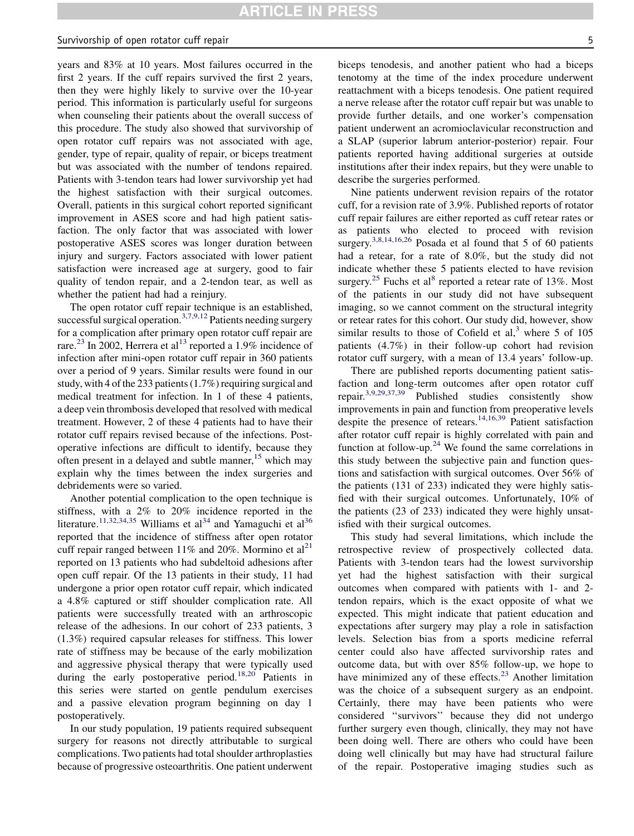#### Survivorship of open rotator cuff repair 5  $\sim$  5  $\sim$  5  $\sim$  5  $\sim$  5  $\sim$  5  $\sim$  5  $\sim$  5  $\sim$  5  $\sim$  5  $\sim$  5  $\sim$  5  $\sim$  5  $\sim$  5  $\sim$  5  $\sim$  5  $\sim$  5  $\sim$  5  $\sim$  5  $\sim$  5  $\sim$  5  $\sim$  5  $\sim$  5  $\sim$  5  $\sim$  5  $\sim$  5  $\sim$

years and 83% at 10 years. Most failures occurred in the first 2 years. If the cuff repairs survived the first 2 years, then they were highly likely to survive over the 10-year period. This information is particularly useful for surgeons when counseling their patients about the overall success of this procedure. The study also showed that survivorship of open rotator cuff repairs was not associated with age, gender, type of repair, quality of repair, or biceps treatment but was associated with the number of tendons repaired. Patients with 3-tendon tears had lower survivorship yet had the highest satisfaction with their surgical outcomes. Overall, patients in this surgical cohort reported significant improvement in ASES score and had high patient satisfaction. The only factor that was associated with lower postoperative ASES scores was longer duration between injury and surgery. Factors associated with lower patient satisfaction were increased age at surgery, good to fair quality of tendon repair, and a 2-tendon tear, as well as whether the patient had had a reinjury.

The open rotator cuff repair technique is an established, successful surgical operation.<sup>[3,7,9,12](#page-5-0)</sup> Patients needing surgery for a complication after primary open rotator cuff repair are rare.<sup>[23](#page-5-0)</sup> In 2002, Herrera et al<sup>[13](#page-5-0)</sup> reported a 1.9% incidence of infection after mini-open rotator cuff repair in 360 patients over a period of 9 years. Similar results were found in our study, with 4 of the 233 patients (1.7%) requiring surgical and medical treatment for infection. In 1 of these 4 patients, a deep vein thrombosis developed that resolved with medical treatment. However, 2 of these 4 patients had to have their rotator cuff repairs revised because of the infections. Postoperative infections are difficult to identify, because they often present in a delayed and subtle manner,  $15$  which may explain why the times between the index surgeries and debridements were so varied.

Another potential complication to the open technique is stiffness, with a 2% to 20% incidence reported in the literature.<sup>[11,32,34,35](#page-5-0)</sup> Williams et al<sup>[34](#page-6-0)</sup> and Yamaguchi et al<sup>[36](#page-6-0)</sup> reported that the incidence of stiffness after open rotator cuff repair ranged between 11% and 20%. Mormino et  $al<sup>21</sup>$  $al<sup>21</sup>$  $al<sup>21</sup>$ reported on 13 patients who had subdeltoid adhesions after open cuff repair. Of the 13 patients in their study, 11 had undergone a prior open rotator cuff repair, which indicated a 4.8% captured or stiff shoulder complication rate. All patients were successfully treated with an arthroscopic release of the adhesions. In our cohort of 233 patients, 3 (1.3%) required capsular releases for stiffness. This lower rate of stiffness may be because of the early mobilization and aggressive physical therapy that were typically used during the early postoperative period.<sup>[18,20](#page-5-0)</sup> Patients in this series were started on gentle pendulum exercises and a passive elevation program beginning on day 1 postoperatively.

In our study population, 19 patients required subsequent surgery for reasons not directly attributable to surgical complications. Two patients had total shoulder arthroplasties because of progressive osteoarthritis. One patient underwent biceps tenodesis, and another patient who had a biceps tenotomy at the time of the index procedure underwent reattachment with a biceps tenodesis. One patient required a nerve release after the rotator cuff repair but was unable to provide further details, and one worker's compensation patient underwent an acromioclavicular reconstruction and a SLAP (superior labrum anterior-posterior) repair. Four patients reported having additional surgeries at outside institutions after their index repairs, but they were unable to describe the surgeries performed.

Nine patients underwent revision repairs of the rotator cuff, for a revision rate of 3.9%. Published reports of rotator cuff repair failures are either reported as cuff retear rates or as patients who elected to proceed with revision surgery.<sup>[3,8,14,16,26](#page-5-0)</sup> Posada et al found that 5 of 60 patients had a retear, for a rate of 8.0%, but the study did not indicate whether these 5 patients elected to have revision surgery.<sup>[25](#page-6-0)</sup> Fuchs et al<sup>[8](#page-5-0)</sup> reported a retear rate of 13%. Most of the patients in our study did not have subsequent imaging, so we cannot comment on the structural integrity or retear rates for this cohort. Our study did, however, show similar results to those of Cofield et al, $3$  where 5 of 105 patients (4.7%) in their follow-up cohort had revision rotator cuff surgery, with a mean of 13.4 years' follow-up.

There are published reports documenting patient satisfaction and long-term outcomes after open rotator cuff repair.[3,9,29,37,39](#page-5-0) Published studies consistently show improvements in pain and function from preoperative levels despite the presence of retears.<sup>[14,16,39](#page-5-0)</sup> Patient satisfaction after rotator cuff repair is highly correlated with pain and function at follow-up.<sup>[24](#page-5-0)</sup> We found the same correlations in this study between the subjective pain and function questions and satisfaction with surgical outcomes. Over 56% of the patients (131 of 233) indicated they were highly satisfied with their surgical outcomes. Unfortunately, 10% of the patients (23 of 233) indicated they were highly unsatisfied with their surgical outcomes.

This study had several limitations, which include the retrospective review of prospectively collected data. Patients with 3-tendon tears had the lowest survivorship yet had the highest satisfaction with their surgical outcomes when compared with patients with 1- and 2 tendon repairs, which is the exact opposite of what we expected. This might indicate that patient education and expectations after surgery may play a role in satisfaction levels. Selection bias from a sports medicine referral center could also have affected survivorship rates and outcome data, but with over 85% follow-up, we hope to have minimized any of these effects. $2<sup>3</sup>$  Another limitation was the choice of a subsequent surgery as an endpoint. Certainly, there may have been patients who were considered ''survivors'' because they did not undergo further surgery even though, clinically, they may not have been doing well. There are others who could have been doing well clinically but may have had structural failure of the repair. Postoperative imaging studies such as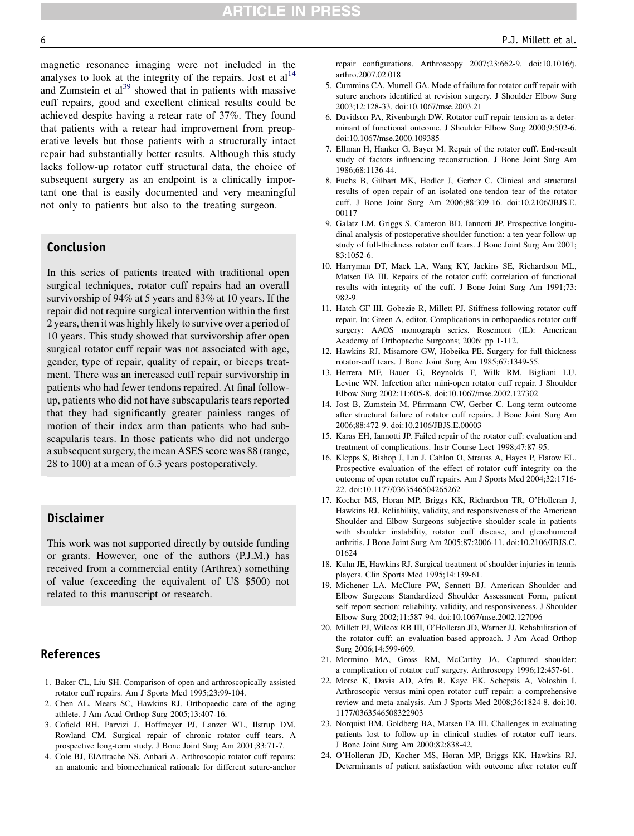<span id="page-5-0"></span>

magnetic resonance imaging were not included in the analyses to look at the integrity of the repairs. Jost et  $al<sup>14</sup>$ and Zumstein et  $al<sup>39</sup>$  $al<sup>39</sup>$  $al<sup>39</sup>$  showed that in patients with massive cuff repairs, good and excellent clinical results could be achieved despite having a retear rate of 37%. They found that patients with a retear had improvement from preoperative levels but those patients with a structurally intact repair had substantially better results. Although this study lacks follow-up rotator cuff structural data, the choice of subsequent surgery as an endpoint is a clinically important one that is easily documented and very meaningful not only to patients but also to the treating surgeon.

# Conclusion

In this series of patients treated with traditional open surgical techniques, rotator cuff repairs had an overall survivorship of 94% at 5 years and 83% at 10 years. If the repair did not require surgical intervention within the first 2 years, then it was highly likely to survive over a period of 10 years. This study showed that survivorship after open surgical rotator cuff repair was not associated with age, gender, type of repair, quality of repair, or biceps treatment. There was an increased cuff repair survivorship in patients who had fewer tendons repaired. At final followup, patients who did not have subscapularis tears reported that they had significantly greater painless ranges of motion of their index arm than patients who had subscapularis tears. In those patients who did not undergo a subsequent surgery, the mean ASES score was 88 (range, 28 to 100) at a mean of 6.3 years postoperatively.

# Disclaimer

This work was not supported directly by outside funding or grants. However, one of the authors (P.J.M.) has received from a commercial entity (Arthrex) something of value (exceeding the equivalent of US \$500) not related to this manuscript or research.

# References

- 1. Baker CL, Liu SH. Comparison of open and arthroscopically assisted rotator cuff repairs. Am J Sports Med 1995;23:99-104.
- 2. Chen AL, Mears SC, Hawkins RJ. Orthopaedic care of the aging athlete. J Am Acad Orthop Surg 2005;13:407-16.
- 3. Cofield RH, Parvizi J, Hoffmeyer PJ, Lanzer WL, Ilstrup DM, Rowland CM. Surgical repair of chronic rotator cuff tears. A prospective long-term study. J Bone Joint Surg Am 2001;83:71-7.
- 4. Cole BJ, ElAttrache NS, Anbari A. Arthroscopic rotator cuff repairs: an anatomic and biomechanical rationale for different suture-anchor

repair configurations. Arthroscopy 2007;23:662-9. doi:10.1016/j. arthro.2007.02.018

- 5. Cummins CA, Murrell GA. Mode of failure for rotator cuff repair with suture anchors identified at revision surgery. J Shoulder Elbow Surg 2003;12:128-33. doi:10.1067/mse.2003.21
- 6. Davidson PA, Rivenburgh DW. Rotator cuff repair tension as a determinant of functional outcome. J Shoulder Elbow Surg 2000;9:502-6. doi:10.1067/mse.2000.109385
- 7. Ellman H, Hanker G, Bayer M. Repair of the rotator cuff. End-result study of factors influencing reconstruction. J Bone Joint Surg Am 1986;68:1136-44.
- 8. Fuchs B, Gilbart MK, Hodler J, Gerber C. Clinical and structural results of open repair of an isolated one-tendon tear of the rotator cuff. J Bone Joint Surg Am 2006;88:309-16. doi:10.2106/JBJS.E. 00117
- 9. Galatz LM, Griggs S, Cameron BD, Iannotti JP. Prospective longitudinal analysis of postoperative shoulder function: a ten-year follow-up study of full-thickness rotator cuff tears. J Bone Joint Surg Am 2001; 83:1052-6.
- 10. Harryman DT, Mack LA, Wang KY, Jackins SE, Richardson ML, Matsen FA III. Repairs of the rotator cuff: correlation of functional results with integrity of the cuff. J Bone Joint Surg Am 1991;73: 982-9.
- 11. Hatch GF III, Gobezie R, Millett PJ. Stiffness following rotator cuff repair. In: Green A, editor. Complications in orthopaedics rotator cuff surgery: AAOS monograph series. Rosemont (IL): American Academy of Orthopaedic Surgeons; 2006: pp 1-112.
- 12. Hawkins RJ, Misamore GW, Hobeika PE. Surgery for full-thickness rotator-cuff tears. J Bone Joint Surg Am 1985;67:1349-55.
- 13. Herrera MF, Bauer G, Reynolds F, Wilk RM, Bigliani LU, Levine WN. Infection after mini-open rotator cuff repair. J Shoulder Elbow Surg 2002;11:605-8. doi:10.1067/mse.2002.127302
- 14. Jost B, Zumstein M, Pfirrmann CW, Gerber C. Long-term outcome after structural failure of rotator cuff repairs. J Bone Joint Surg Am 2006;88:472-9. doi:10.2106/JBJS.E.00003
- 15. Karas EH, Iannotti JP. Failed repair of the rotator cuff: evaluation and treatment of complications. Instr Course Lect 1998;47:87-95.
- 16. Klepps S, Bishop J, Lin J, Cahlon O, Strauss A, Hayes P, Flatow EL. Prospective evaluation of the effect of rotator cuff integrity on the outcome of open rotator cuff repairs. Am J Sports Med 2004;32:1716- 22. doi:10.1177/0363546504265262
- 17. Kocher MS, Horan MP, Briggs KK, Richardson TR, O'Holleran J, Hawkins RJ. Reliability, validity, and responsiveness of the American Shoulder and Elbow Surgeons subjective shoulder scale in patients with shoulder instability, rotator cuff disease, and glenohumeral arthritis. J Bone Joint Surg Am 2005;87:2006-11. doi:10.2106/JBJS.C. 01624
- 18. Kuhn JE, Hawkins RJ. Surgical treatment of shoulder injuries in tennis players. Clin Sports Med 1995;14:139-61.
- 19. Michener LA, McClure PW, Sennett BJ. American Shoulder and Elbow Surgeons Standardized Shoulder Assessment Form, patient self-report section: reliability, validity, and responsiveness. J Shoulder Elbow Surg 2002;11:587-94. doi:10.1067/mse.2002.127096
- 20. Millett PJ, Wilcox RB III, O'Holleran JD, Warner JJ. Rehabilitation of the rotator cuff: an evaluation-based approach. J Am Acad Orthop Surg 2006;14:599-609.
- 21. Mormino MA, Gross RM, McCarthy JA. Captured shoulder: a complication of rotator cuff surgery. Arthroscopy 1996;12:457-61.
- 22. Morse K, Davis AD, Afra R, Kaye EK, Schepsis A, Voloshin I. Arthroscopic versus mini-open rotator cuff repair: a comprehensive review and meta-analysis. Am J Sports Med 2008;36:1824-8. doi:10. 1177/0363546508322903
- 23. Norquist BM, Goldberg BA, Matsen FA III. Challenges in evaluating patients lost to follow-up in clinical studies of rotator cuff tears. J Bone Joint Surg Am 2000;82:838-42.
- 24. O'Holleran JD, Kocher MS, Horan MP, Briggs KK, Hawkins RJ. Determinants of patient satisfaction with outcome after rotator cuff